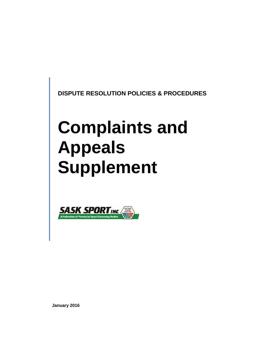**DISPUTE RESOLUTION POLICIES & PROCEDURES** 

# **Complaints and Appeals Supplement**



**January 2016**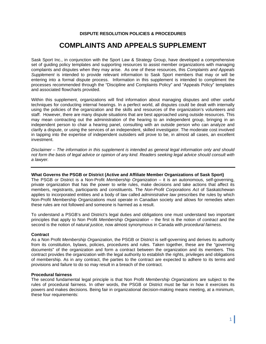# **DISPUTE RESOLUTION POLICIES & PROCEDURES**

# **COMPLAINTS AND APPEALS SUPPLEMENT**

Sask Sport Inc., in conjunction with the Sport Law & Strategy Group, have developed a comprehensive set of guiding policy templates and supporting resources to assist member organizations with managing complaints and disputes when they may arise. As one of these resources, this *Complaints and Appeals Supplement* is intended to provide relevant information to Sask Sport members that may or will be entering into a formal dispute process. Information in this supplement is intended to compliment the processes recommended through the "Discipline and Complaints Policy" and "Appeals Policy" templates and associated flowcharts provided.

Within this supplement, organizations will find information about managing disputes and other useful techniques for conducting internal hearings. In a perfect world, all disputes could be dealt with internally using the policies of the organization and the skills and resources of the organization's volunteers and staff. However, there are many dispute situations that are best approached using outside resources. This may mean contracting out the administration of the hearing to an independent group, bringing in an independent person to chair a hearing panel, consulting with an outside person who can analyze and clarify a dispute, or using the services of an independent, skilled investigator. The moderate cost involved in tapping into the expertise of independent outsiders will prove to be, in almost all cases, an excellent investment.

*Disclaimer – The information in this supplement is intended as general legal information only and should not form the basis of legal advice or opinion of any kind. Readers seeking legal advice should consult with a lawyer.* 

# **What Governs the PSGB or District (Active and Affiliate Member Organizations of Sask Sport)**

The PSGB or District is a Non-Profit *Membership Organization* – it is an autonomous, self-governing, private organization that has the power to write rules, make decisions and take actions that affect its members, registrants, participants and constituents. The *Non-Profit Corporations Act* of Saskatchewan applies to incorporated entities and a body of law called *administrative law* prescribes the rules by which Non-Profit Membership Organizations must operate in Canadian society and allows for remedies when these rules are not followed and someone is harmed as a result.

To understand a PSGB's and District's legal duties and obligations one must understand two important principles that apply to Non Profit *Membership Organization* – the first is the notion of *contract* and the second is the notion of *natural justice,* now almost synonymous in Canada with *procedural fairness*.

#### **Contract**

As a Non Profit *Membership Organization*, the PSGB or District is self-governing and derives its authority from its constitution, bylaws, policies, procedures and rules. Taken together, these are the "governing documents" of the organization and form a contract between the organization and its members. This contract provides the organization with the legal authority to establish the rights, privileges and obligations of membership. As in any contract, the parties to the contract are expected to adhere to its terms and provisions and failure to do so may result in a breach of the contract.

#### **Procedural fairness**

The second fundamental legal principle is that Non Profit *Membership Organizations* are subject to the rules of procedural fairness. In other words, the PSGB or District must be fair in how it exercises its powers and makes decisions. Being fair in organizational decision-making means meeting, at a minimum, these four requirements: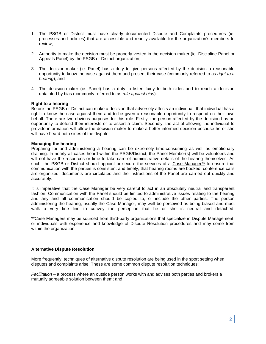- 1. The PSGB or District must have clearly documented Dispute and Complaints procedures (ie. processes and policies) that are accessible and readily available for the organization's members to review;
- 2. Authority to make the decision must be properly vested in the decision-maker (ie. Discipline Panel or Appeals Panel) by the PSGB or District organization;
- 3. The decision-maker (ie. Panel) has a duty to give persons affected by the decision a reasonable opportunity to know the case against them and present their case (commonly referred to as *right to a hearing*); and
- 4. The decision-maker (ie. Panel) has a duty to listen fairly to both sides and to reach a decision untainted by bias (commonly referred to as *rule against bias*).

# **Right to a hearing**

Before the PSGB or District can make a decision that adversely affects an individual, that individual has a right to know the case against them and to be given a reasonable opportunity to respond on their own behalf. There are two obvious purposes for this rule. Firstly, the person affected by the decision has an opportunity to defend their interests or to assert a claim. Secondly, the act of allowing the individual to provide information will allow the decision-maker to make a better-informed decision because he or she will have heard both sides of the dispute.

#### **Managing the hearing**

Preparing for and administering a hearing can be extremely time-consuming as well as emotionally draining. In nearly all cases heard within the PSGB/District, the Panel Member(s) will be volunteers and will not have the resources or time to take care of administrative details of the hearing themselves. As such, the PSGB or District should appoint or secure the services of a Case Manager\*\* to ensure that communication with the parties is consistent and timely, that hearing rooms are booked, conference calls are organized, documents are circulated and the instructions of the Panel are carried out quickly and accurately.

It is imperative that the Case Manager be very careful to act in an absolutely neutral and transparent fashion. Communication with the Panel should be limited to administrative issues relating to the hearing and any and all communication should be copied to, or include the other parties. The person administering the hearing, usually the Case Manager, may well be perceived as being biased and must walk a very fine line to convey the perception that he or she is neutral and detached.

\*\*Case Managers may be sourced from third-party organizations that specialize in Dispute Management, or individuals with experience and knowledge of Dispute Resolution procedures and may come from within the organization.

#### **Alternative Dispute Resolution**

More frequently, techniques of alternative dispute resolution are being used in the sport setting when disputes and complaints arise. These are some common dispute resolution techniques:

*Facilitation* – a process where an outside person works with and advises both parties and brokers a mutually agreeable solution between them; and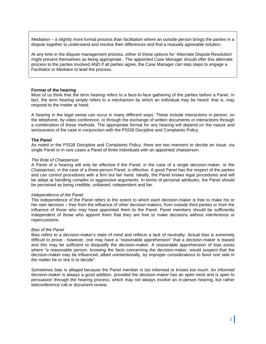*Mediation* – a slightly more formal process than facilitation where an outside person brings the parties in a dispute together to understand and resolve their differences and find a mutually agreeable solution;

At any time in the dispute management process, either of these options for 'Alternate Dispute Resolution' might present themselves as being appropriate. The appointed Case Manager should offer this alternate process to the parties involved AND if all parties agree, the Case Manager can step steps to engage a Facilitator or Mediator to lead the process.

#### **Format of the hearing**

Most of us think that the term *hearing* refers to a face-to-face gathering of the parties before a Panel. In fact, the term hearing simply refers to a mechanism by which an individual may be heard: that is, may respond to the matter at hand.

A hearing in the legal sense can occur in many different ways. These include interactions in person, on the telephone, by video conference, or through the exchange of written documents or interactions through a combination of these methods. The appropriate format for any hearing will depend on the nature and seriousness of the case in conjunction with the PSGB Discipline and Complaints Policy.

#### **The Panel**

As noted in the PSGB Discipline and Complaints Policy, there are two manners to decide an issue, via single Panel or in rare cases a Panel of three individuals with an appointed chairperson.

#### *The Role of Chairperson*

A Panel of a hearing will only be effective if the Panel, in the case of a single decision-maker, or the Chairperson, in the case of a three-person Panel, is effective. A good Panel has the respect of the parties and can control procedures with a firm but fair hand. Ideally, the Panel knows legal procedures and will be adept at handling complex or aggressive arguments. In terms of personal attributes, the Panel should be perceived as being credible, unbiased, independent and fair.

#### *Independence of the Panel*

The independence of the Panel refers to the extent to which each decision-maker is free to make his or her own decision – free from the influence of other decision-makers, from outside third parties or from the influence of those who may have appointed them to the Panel. Panel members should be sufficiently independent of those who appoint them that they are free to make decisions without interference or repercussions.

#### *Bias of the Panel*

Bias refers to a decision-maker's state of mind and reflects a lack of neutrality. Actual bias is extremely difficult to prove - however, one may have a "reasonable apprehension" that a decision-maker is biased and this may be sufficient to disqualify the decision-maker. A reasonable apprehension of bias exists where "a reasonable person, knowing the facts concerning the decision-maker, would suspect that the decision-maker may be influenced, albeit unintentionally, by improper considerations to favor one side in the matter he or she is to decide".

Sometimes bias is alleged because the Panel member is too informed or knows too much. An informed decision-maker is always a good addition, provided the decision-maker has an open mind and is open to persuasion through the hearing process, which may not always involve an in-person hearing, but rather teleconference call or document review.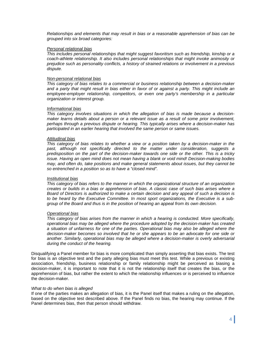*Relationships and elements that may result in bias or a reasonable apprehension of bias can be grouped into six broad categories:* 

#### *Personal relational bias*

*This includes personal relationships that might suggest favoritism such as friendship, kinship or a coach-athlete relationship. It also includes personal relationships that might invoke animosity or prejudice such as personality conflicts, a history of strained relations or involvement in a previous dispute.* 

#### *Non-personal relational bias*

*This category of bias relates to a commercial or business relationship between a decision-maker and a party that might result in bias either in favor of or against a party. This might include an employee-employer relationship, competitors, or even one party's membership in a particular organization or interest group.* 

#### *Informational bias*

*This category involves situations in which the allegation of bias is made because a decisionmaker learns details about a person or a relevant issue as a result of some prior involvement, perhaps through a previous dispute or hearing. This typically arises where a decision-maker has participated in an earlier hearing that involved the same person or same issues.* 

#### *Attitudinal bias*

*This category of bias relates to whether a view or a position taken by a decision-maker in the past, although not specifically directed to the matter under consideration, suggests a predisposition on the part of the decision-maker towards one side or the other. This is a tricky issue. Having an open mind does not mean having a blank or void mind! Decision-making bodies may, and often do, take positions and make general statements about issues, but they cannot be so entrenched in a position so as to have a "closed mind".* 

#### *Institutional bias*

*This category of bias refers to the manner in which the organizational structure of an organization creates or builds in a bias or apprehension of bias. A classic case of such bias arises where a Board of Directors is authorized to make a certain decision and any appeal of such a decision is to be heard by the Executive Committee. In most sport organizations, the Executive is a subgroup of the Board and thus is in the position of hearing an appeal from its own decision.* 

### *Operational bias*

*This category of bias arises from the manner in which a hearing is conducted. More specifically, operational bias may be alleged where the procedure adopted by the decision-maker has created a situation of unfairness for one of the parties. Operational bias may also be alleged where the decision-maker becomes so involved that he or she appears to be an advocate for one side or another. Similarly, operational bias may be alleged where a decision-maker is overly adversarial during the conduct of the hearing.* 

Disqualifying a Panel member for bias is more complicated than simply asserting that bias exists. The test for bias is an objective test and the party alleging bias must meet this test. While a previous or existing association, friendship, business relationship or family relationship might be perceived as biasing a decision-maker, it is important to note that it is not the relationship itself that creates the bias, or the apprehension of bias, but rather the extent to which the relationship influences or is perceived to influence the decision-maker.

#### *What to do when bias is alleged*

If one of the parties makes an allegation of bias, it is the Panel itself that makes a ruling on the allegation, based on the objective test described above. If the Panel finds no bias, the hearing may continue. If the Panel determines bias, then that person should withdraw.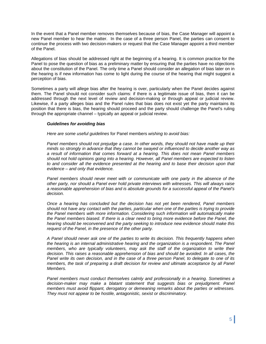In the event that a Panel member removes themselves because of bias, the Case Manager will appoint a new Panel member to hear the matter. In the case of a three person Panel, the parties can consent to continue the process with two decision-makers or request that the Case Manager appoint a third member of the Panel.

Allegations of bias should be addressed right at the beginning of a hearing. It is common practice for the Panel to pose the question of bias as a preliminary matter by ensuring that the parties have no objections about the constitution of the Panel. The only time a Panel should consider an allegation of bias later on in the hearing is if new information has come to light during the course of the hearing that might suggest a perception of bias.

Sometimes a party will allege bias after the hearing is over, particularly when the Panel decides against them. The Panel should not consider such claims: if there is a legitimate issue of bias, then it can be addressed through the next level of review and decision-making or through appeal or judicial review. Likewise, if a party alleges bias and the Panel rules that bias does not exist yet the party maintains its position that there is bias, the hearing should proceed and the party should challenge the Panel's ruling through the appropriate channel – typically an appeal or judicial review.

#### *Guidelines for avoiding bias*

*Here are some useful guidelines* for Panel members *wishing to avoid bias:* 

*Panel members should not prejudge a case. In other words, they should not have made up their minds so strongly in advance that they cannot be swayed or influenced to decide another way as a result of information that comes forward at a hearing. This does not mean Panel members should not hold opinions going into a hearing. However, all Panel members are expected to listen to and consider all the evidence presented at the hearing and to base their decision upon that evidence – and only that evidence.* 

Panel members should never meet with or communicate with one party in the absence of the *other party, nor should a Panel ever hold private interviews with witnesses. This will always raise a reasonable apprehension of bias and is absolute grounds for a successful appeal of the Panel's decision.* 

*Once a hearing has concluded but the decision has not yet been rendered, Panel members should not have any contact with the parties, particular when one of the parties is trying to provide the Panel members with more information. Considering such information will automatically make*  the Panel members biased. If there is a clear need to bring more evidence before the Panel, the *hearing should be reconvened and the party seeking to introduce new evidence should make this request of the Panel, in the presence of the other party.* 

*A Panel should never ask one of the parties to write its decision. This frequently happens when the hearing is an internal administrative hearing and the organization is a respondent. The Panel members, who are typically volunteers, may ask the staff of the organization to write their decision. This raises a reasonable apprehension of bias and should be avoided. In all cases, the Panel write its own decision, and in the case of a three person Panel, to delegate to one of its members, the task of preparing a draft decision for review and ultimate acceptance by all Panel Members.* 

*Panel members must conduct themselves calmly and professionally in a hearing. Sometimes a*  decision-maker may make a blatant statement that suggests bias or prejudgment. Panel *members must avoid flippant, derogatory or demeaning remarks about the parties or witnesses. They must not appear to be hostile, antagonistic, sexist or discriminatory.*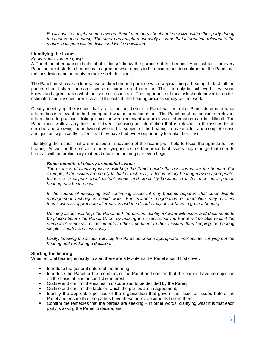*Finally, while it might seem obvious, Panel members should not socialize with either party during the course of a hearing. The other party might reasonably assume that information relevant to the matter in dispute will be discussed while socializing.* 

#### **Identifying the issues**

#### *Know where you are going*

A Panel member cannot do its job if it doesn't know the purpose of the hearing. A critical task for every Panel before it starts a hearing is to agree on what needs to be decided and to confirm that the Panel has the jurisdiction and authority to make such decisions.

The Panel must have a clear sense of direction and purpose when approaching a hearing. In fact, all the parties should share the same sense of purpose and direction. This can only be achieved if everyone knows and agrees upon what the issue or issues are. The importance of this task should never be underestimated and if issues aren't clear at the outset, the hearing process simply will not work.

Clearly identifying the issues that are to be put before a Panel will help the Panel determine what information is relevant to the hearing and what information is not. The Panel must not consider irrelevant information. In practice, distinguishing between relevant and irrelevant information can be difficult. The Panel must walk a very fine line between focusing on information that is relevant to the issues to be decided and allowing the individual who is the subject of the hearing to make a full and complete case and, just as significantly, to *feel* that they have had every opportunity to make their case.

Identifying the issues that are in dispute in advance of the hearing will help to focus the agenda for the hearing. As well, in the process of identifying issues, certain procedural issues may emerge that need to be dealt with as preliminary matters before the hearing can even begin.

#### *Some benefits of clearly articulated issues*

*The exercise of clarifying issues will help the Panel decide the best format for the hearing. For example, if the issues are purely factual or technical, a documentary hearing may be appropriate. If there is a dispute about factual events and credibility becomes a factor, then an in-person hearing may be the best.* 

*In the course of identifying and confirming issues, it may become apparent that other dispute*  management techniques could work. For example, negotiation or mediation may present *themselves as appropriate alternatives and the dispute may never have to go to a hearing.* 

*Defining issues will help the Panel and the parties identify relevant witnesses and documents to be placed before the Panel. Often, by making the issues clear the* Panel *will be able to limit the number of witnesses or documents to those pertinent to these issues, thus keeping the hearing simpler, shorter and less costly.* 

*Lastly, knowing the issues will help the* Panel *determine appropriate timelines for carrying out the hearing and rendering a decision.* 

#### **Starting the hearing**

When an oral hearing is ready to start there are a few items the Panel should first cover:

- Introduce the general nature of the hearing;
- **Introduce the Panel or the members of the Panel and confirm that the parties have no objection** on the basis of bias or conflict of interest;
- Outline and confirm the issues in dispute and to be decided by the Panel;
- **•** Outline and confirm the facts on which the parties are in agreement;
- Identify the applicable policies of the organization that govern the issue or issues before the Panel and ensure that the parties have these policy documents before them;
- Confirm the remedies that the parties are seeking in other words, clarifying what it is that each party is asking the Panel to decide; and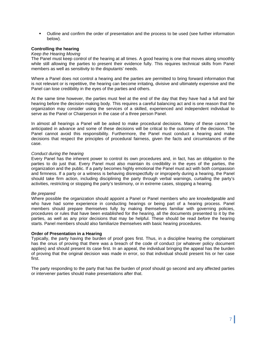Outline and confirm the order of presentation and the process to be used (see further information below).

# **Controlling the hearing**

#### *Keep the Hearing Moving*

The Panel must keep control of the hearing at all times. A good hearing is one that moves along smoothly while still allowing the parties to present their evidence fully. This requires technical skills from Panel members as well as sensitivity to the disputants' needs.

Where a Panel does not control a hearing and the parties are permitted to bring forward information that is not relevant or is repetitive, the hearing can become irritating, divisive and ultimately expensive and the Panel can lose credibility in the eyes of the parties and others.

At the same time however, the parties must feel at the end of the day that they have had a full and fair hearing before the decision-making body. This requires a careful balancing act and is one reason that the organization may consider using the services of a skilled, experienced and independent individual to serve as the Panel or Chairperson in the case of a three person Panel.

In almost all hearings a Panel will be asked to make procedural decisions. Many of these cannot be anticipated in advance and some of these decisions will be critical to the outcome of the decision. The Panel cannot avoid this responsibility. Furthermore, the Panel must conduct a hearing and make decisions that respect the principles of procedural fairness, given the facts and circumstances of the case.

#### *Conduct during the hearing*

Every Panel has the inherent power to control its own procedures and, in fact, has an obligation to the parties to do just that. Every Panel must also maintain its credibility in the eyes of the parties, the organization and the public. If a party becomes highly emotional the Panel must act with both compassion and firmness. If a party or a witness is behaving disrespectfully or improperly during a hearing, the Panel should take firm action, including disciplining the party through verbal warnings, curtailing the party's activities, restricting or stopping the party's testimony, or in extreme cases, stopping a hearing.

#### *Be prepared*

Where possible the organization should appoint a Panel or Panel members who are knowledgeable and who have had some experience in conducting hearings or being part of a hearing process. Panel members should prepare themselves fully by making themselves familiar with governing policies, procedures or rules that have been established for the hearing, all the documents presented to it by the parties, as well as any prior decisions that may be helpful. These should be read *before* the hearing starts. Panel members should also familiarize themselves with basic hearing procedures.

#### **Order of Presentation in a Hearing**

Typically, the party having the burden of proof goes first. Thus, in a discipline hearing the complainant has the onus of proving that there was a breach of the code of conduct (or whatever policy document applies) and should present its case first. In an appeal, the individual bringing the appeal has the burden of proving that the original decision was made in error, so that individual should present his or her case first.

The party responding to the party that has the burden of proof should go second and any affected parties or intervener parties should make presentations after that.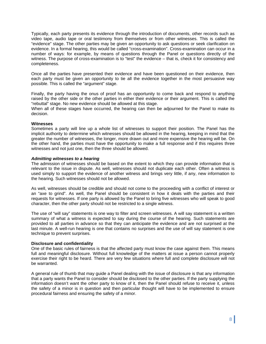Typically, each party presents its evidence through the introduction of documents, other records such as video tape, audio tape or oral testimony from themselves or from other witnesses. This is called the "evidence" stage. The other parties may be given an opportunity to ask questions or seek clarification on evidence. In a formal hearing, this would be called "cross-examination". Cross-examination can occur in a number of ways: for example, by means of questions through the Panel or questions directly of the witness. The purpose of cross-examination is to "test" the evidence – that is, check it for consistency and completeness.

Once all the parties have presented their evidence and have been questioned on their evidence, then each party must be given an opportunity to tie all the evidence together in the most persuasive way possible. This is called the "argument" stage.

Finally, the party having the onus of proof has an opportunity to come back and respond to anything raised by the other side or the other parties in either their evidence or their argument. This is called the "rebuttal" stage. No new evidence should be allowed at this stage.

When all of these stages have occurred, the hearing can then be adjourned for the Panel to make its decision.

#### **Witnesses**

Sometimes a party will line up a whole list of witnesses to support their position. The Panel has the implicit authority to determine which witnesses should be allowed in the hearing, keeping in mind that the greater the number of witnesses, the longer, more drawn out and more expensive the hearing will be. On the other hand, the parties must have the opportunity to make a full response and if this requires three witnesses and not just one, then the three should be allowed.

#### *Admitting witnesses to a hearing*

The admission of witnesses should be based on the extent to which they can provide information that is relevant to the issue in dispute. As well, witnesses should not duplicate each other. Often a witness is used simply to support the evidence of another witness and brings very little, if any, new information to the hearing. Such witnesses should not be allowed.

As well, witnesses should be credible and should not come to the proceeding with a conflict of interest or an "axe to grind". As well, the Panel should be consistent in how it deals with the parties and their requests for witnesses. If one party is allowed by the Panel to bring five witnesses who will speak to good character, then the other party should not be restricted to a single witness.

The use of "will say" statements is one way to filter and screen witnesses. A will say statement is a written summary of what a witness is expected to say during the course of the hearing. Such statements are provided to all parties in advance so that they can anticipate the evidence and are not surprised at the last minute. A well-run hearing is one that contains no surprises and the use of will say statement is one technique to prevent surprises.

#### **Disclosure and confidentiality**

One of the basic rules of fairness is that the affected party must know the case against them. This means full and meaningful disclosure. Without full knowledge of the matters at issue a person cannot properly exercise their right to be heard. There are very few situations where full and complete disclosure will not be warranted.

A general rule of thumb that may guide a Panel dealing with the issue of disclosure is that any information that a party wants the Panel to consider should be disclosed to the other parties. If the party supplying the information doesn't want the other party to know of it, then the Panel should refuse to receive it, unless the safety of a minor is in question and then particular thought will have to be implemented to ensure procedural fairness and ensuring the safety of a minor.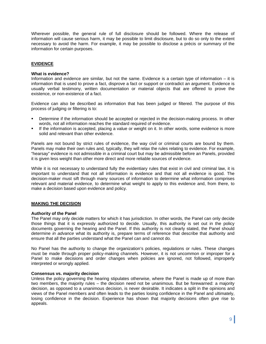Wherever possible, the general rule of full disclosure should be followed. Where the release of information will cause serious harm, it may be possible to limit disclosure, but to do so only to the extent necessary to avoid the harm. For example, it may be possible to disclose a précis or summary of the information for certain purposes.

# **EVIDENCE**

#### **What is evidence?**

Information and evidence are similar, but not the same. Evidence is a certain type of information – it is information that is used to prove a fact, disprove a fact or support or contradict an argument. Evidence is usually verbal testimony, written documentation or material objects that are offered to prove the existence, or non-existence of a fact.

Evidence can also be described as information that has been judged or filtered. The purpose of this process of judging or filtering is to:

- Determine if the information should be accepted or rejected in the decision-making process. In other words, not all information reaches the standard required of evidence.
- If the information is accepted, placing a value or weight on it. In other words, some evidence is more solid and relevant than other evidence.

Panels are not bound by strict rules of evidence, the way civil or criminal courts are bound by them. Panels may make their own rules and, typically, they will relax the rules relating to evidence. For example, "hearsay" evidence is not admissible in a criminal court but may be admissible before an Panels, provided it is given less weight than other more direct and more reliable sources of evidence.

While it is not necessary to understand fully the evidentiary rules that exist in civil and criminal law, it is important to understand that not all information is evidence and that not all evidence is good. The decision-maker must sift through many sources of information to determine what information comprises relevant and material evidence, to determine what weight to apply to this evidence and, from there, to make a decision based upon evidence and policy.

#### **MAKING THE DECISION**

#### **Authority of the Panel**

The Panel may only decide matters for which it has jurisdiction. In other words, the Panel can only decide those things that it is expressly authorized to decide. Usually, this authority is set out in the policy documents governing the hearing and the Panel. If this authority is not clearly stated, the Panel should determine *in advance* what its authority is, prepare terms of reference that describe that authority and ensure that all the parties understand what the Panel can and cannot do.

No Panel has the authority to change the organization's policies, regulations or rules. These changes must be made through proper policy-making channels. However, it is not uncommon or improper for a Panel to make decisions and order changes when policies are ignored, not followed, improperly interpreted or wrongly applied.

#### **Consensus vs. majority decision**

Unless the policy governing the hearing stipulates otherwise, where the Panel is made up of more than two members, the majority rules – the decision need not be unanimous. But be forewarned: a majority decision, as opposed to a unanimous decision, is never desirable. It indicates a split in the opinions and views of the Panel members and often leads to the parties losing confidence in the Panel and ultimately, losing confidence in the decision. Experience has shown that majority decisions often give rise to appeals.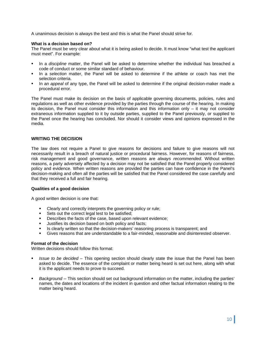A unanimous decision is always the best and this is what the Panel should strive for.

## **What is a decision based on?**

The Panel must be very clear about what it is being asked to decide. It must know "what test the applicant must meet". For example:

- In a *discipline* matter, the Panel will be asked to determine whether the individual has breached a code of conduct or some similar standard of behaviour.
- In a *selection* matter, the Panel will be asked to determine if the athlete or coach has met the selection criteria.
- **IF** In an *appeal* of any type, the Panel will be asked to determine if the original decision-maker made a procedural error.

The Panel must make its decision on the basis of applicable governing documents, policies, rules and regulations as well as other evidence provided by the parties through the course of the hearing. In making its decision, the Panel must consider this information and this information only – it may not consider extraneous information supplied to it by outside parties, supplied to the Panel previously, or supplied to the Panel once the hearing has concluded. Nor should it consider views and opinions expressed in the media.

# **WRITING THE DECISION**

The law does not require a Panel to give reasons for decisions and failure to give reasons will not necessarily result in a breach of natural justice or procedural fairness. However, for reasons of fairness, risk management and good governance, written reasons are *always recommended*. Without written reasons, a party adversely affected by a decision may not be satisfied that the Panel properly considered policy and evidence. When written reasons are provided the parties can have confidence in the Panel's decision-making and often all the parties will be satisfied that the Panel considered the case carefully and that they received a full and fair hearing.

#### **Qualities of a good decision**

A good written decision is one that:

- Clearly and correctly interprets the governing policy or rule;
- Sets out the correct legal test to be satisfied:
- Describes the facts of the case, based upon relevant evidence;
- **Justifies its decision based on both policy and facts;**
- **IS clearly written so that the decision-makers' reasoning process is transparent; and**
- Gives reasons that are understandable to a fair-minded, reasonable and disinterested observer.

# **Format of the decision**

Written decisions should follow this format:

- *Issue to be decided* This opening section should clearly state the issue that the Panel has been asked to decide. The essence of the complaint or matter being heard is set out here, along with what it is the applicant needs to prove to succeed.
- *Background --* This section should set out background information on the matter, including the parties' names, the dates and locations of the incident in question and other factual information relating to the matter being heard.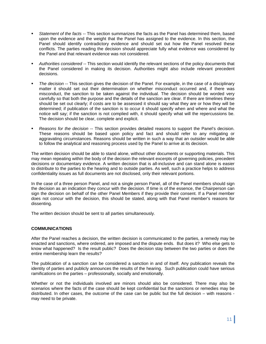- *Statement of the facts --* This section summarizes the facts as the Panel has determined them, based upon the evidence and the weight that the Panel has assigned to the evidence. In this section, the Panel should identify contradictory evidence and should set out how the Panel resolved these conflicts. The parties reading the decision should appreciate fully what evidence was considered by the Panel and that relevant evidence was not considered.
- *Authorities considered --* This section would identify the relevant sections of the policy documents that the Panel considered in making its decision. Authorities might also include relevant precedent decisions.
- *The decision --* This section gives the decision of the Panel. For example, in the case of a disciplinary matter it should set out their determination on whether misconduct occurred and, if there was misconduct, the sanction to be taken against the individual. The decision should be worded very carefully so that both the purpose and the details of the sanction are clear. If there are timelines these should be set out clearly; if costs are to be assessed it should say what they are or how they will be determined; if publication of the sanction is to occur it should specify when and where and what the notice will say; if the sanction is not complied with, it should specify what will the repercussions be. The decision should be clear, complete and explicit.
- *Reasons for the decision --* This section provides detailed reasons to support the Panel's decision. These reasons should be based upon policy and fact and should refer to any mitigating or aggravating circumstances. Reasons should be written in such a way that an outsider would be able to follow the analytical and reasoning process used by the Panel to arrive at its decision.

The written decision should be able to stand alone, without other documents or supporting materials. This may mean repeating within the body of the decision the relevant excerpts of governing policies, precedent decisions or documentary evidence. A written decision that is all-inclusive and can stand alone is easier to distribute to the parties to the hearing and to outside parties. As well, such a practice helps to address confidentiality issues as full documents are not disclosed, only their relevant portions.

In the case of a three person Panel, and not a single person Panel, all of the Panel members should sign the decision as an indication they concur with the decision. If time is of the essence, the Chairperson can sign the decision on behalf of the other Panel Members if they provide their consent. If a Panel member does not concur with the decision, this should be stated, along with that Panel member's reasons for dissenting.

The written decision should be sent to all parties simultaneously.

# **COMMUNICATIONS**

After the Panel reaches a decision, the written decision is communicated to the parties, a remedy may be enacted and sanctions, where ordered, are imposed and the dispute ends. But does it? Who else gets to know what happened? Is the result public? Does the decision stay between the two parties or does the entire membership learn the results?

The publication of a sanction can be considered a sanction in and of itself. Any publication reveals the identity of parties and publicly announces the results of the hearing. Such publication could have serious ramifications on the parties – professionally, socially and emotionally.

Whether or not the individuals involved are minors should also be considered. There may also be scenarios where the facts of the case should be kept confidential but the sanctions or remedies may be distributed. In other cases, the outcome of the case can be public but the full decision – with reasons may need to be private.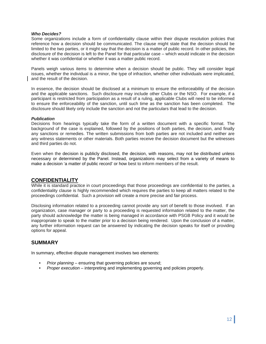#### *Who Decides?*

Some organizations include a form of confidentiality clause within their dispute resolution policies that reference how a decision should be communicated. The clause might state that the decision should be limited to the two parties, or it might say that the decision is a matter of public record. In other policies, the disclosure of the decision is left to the Panel for that particular case – which would indicate in the decision whether it was confidential or whether it was a matter public record.

Panels weigh various items to determine when a decision should be public. They will consider legal issues, whether the individual is a minor, the type of infraction, whether other individuals were implicated, and the result of the decision.

In essence, the decision should be disclosed at a minimum to ensure the enforceability of the decision and the applicable sanctions. Such disclosure may include other Clubs or the NSO. For example, if a participant is restricted from participation as a result of a ruling, applicable Clubs will need to be informed to ensure the enforceability of the sanction, until such time as the sanction has been completed. The disclosure should likely only include the sanction and not the particulars that lead to the decision.

#### *Publication*

Decisions from hearings typically take the form of a written document with a specific format. The background of the case is explained, followed by the positions of both parties, the decision, and finally any sanctions or remedies. The written submissions from both parties are not included and neither are any witness statements or other materials. Both parties receive the decision document but the witnesses and third parties do not.

Even when the decision is publicly disclosed, the decision, with reasons, may not be distributed unless necessary or determined by the Panel. Instead, organizations may select from a variety of means to make a decision 'a matter of public record' or how best to inform members of the result.

# **CONFIDENTIALITY**

While it is standard practice in court proceedings that those proceedings are confidential to the parties, a confidentiality clause is highly recommended which requires the parties to keep all matters related to the proceedings confidential. Such a provision will create a more precise and fair process.

Disclosing information related to a proceeding cannot provide any sort of benefit to those involved. If an organization, case manager or party to a proceeding is requested information related to the matter, the party should acknowledge the matter is being managed in accordance with PSGB Policy and it would be inappropriate to speak to the matter prior to a decision being rendered. Upon the conclusion of a matter, any further information request can be answered by indicating the decision speaks for itself or providing options for appeal.

# **SUMMARY**

In summary, effective dispute management involves two elements:

- *Prior planning*  ensuring that governing policies are sound;
- *Proper execution*  interpreting and implementing governing and policies properly.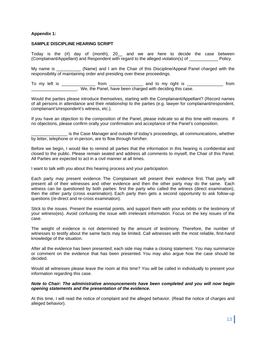# **Appendix 1:**

#### **SAMPLE DISCIPLINE HEARING SCRIPT**

Today is the (#) day of (month), 20\_\_ and we are here to decide the case between (Complainant/Appellant) and Respondent with regard to the alleged violation(s) of \_\_\_\_\_\_\_\_\_\_\_\_ Policy.

My name is \_\_\_\_\_\_\_\_\_\_\_ (Name) and I am the Chair of this Discipline/Appeal Panel charged with the responsibility of maintaining order and presiding over these proceedings.

To my left is \_\_\_\_\_\_\_\_\_\_\_\_\_\_ from \_\_\_\_\_\_\_\_\_\_\_\_\_\_ and to my right is \_\_\_\_\_\_\_\_\_\_\_\_\_\_\_ from \_\_\_\_\_\_\_\_\_\_\_\_\_\_\_\_\_\_\_. We, the Panel, have been charged with deciding this case.

Would the parties please introduce themselves, starting with the Complainant/Appellant? (Record names of all persons in attendance and their relationship to the parties (e.g. lawyer for complainant/respondent, complainant's/respondent's witness, etc.).

If you have an objection to the composition of the Panel, please indicate so at this time with reasons. If no objections, please confirm orally your confirmation and acceptance of the Panel's composition.

\_\_\_\_\_\_\_\_\_\_\_\_\_\_\_ is the Case Manager and outside of today's proceedings, all communications, whether by letter, telephone or in-person, are to flow through him/her.

Before we begin, I would like to remind all parties that the information in this hearing is confidential and closed to the public. Please remain seated and address all comments to myself, the Chair of this Panel. All Parties are expected to act in a civil manner at all times.

I want to talk with you about this hearing process and your participation.

Each party may present evidence. The Complainant will present their evidence first. That party will present all of their witnesses and other evidence and then the other party may do the same. Each witness can be questioned by both parties: first the party who called the witness (direct examination), then the other party (cross examination). Each party then gets a second opportunity to ask follow-up questions (re-direct and re-cross examination).

Stick to the issues. Present the essential points, and support them with your exhibits or the testimony of your witness(es). Avoid confusing the issue with irrelevant information. Focus on the key issues of the case.

The weight of evidence is not determined by the amount of testimony. Therefore, the number of witnesses to testify about the same facts may be limited. Call witnesses with the most reliable, first-hand knowledge of the situation.

After all the evidence has been presented; each side may make a closing statement. You may summarize or comment on the evidence that has been presented. You may also argue how the case should be decided.

Would all witnesses please leave the room at this time? You will be called in individually to present your information regarding this case.

*Note to Chair: The administrative announcements have been completed and you will now begin opening statements and the presentation of the evidence.* 

At this time, I will read the notice of complaint and the alleged behavior. (Read the notice of charges and alleged behavior).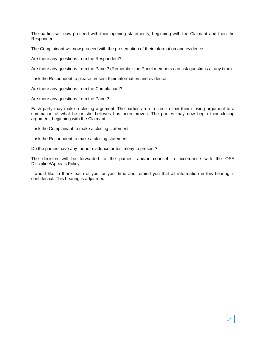The parties will now proceed with their opening statements, beginning with the Claimant and then the Respondent.

The Complainant will now proceed with the presentation of their information and evidence.

Are there any questions from the Respondent?

Are there any questions from the Panel? (Remember the Panel members can ask questions at any time).

I ask the Respondent to please present their information and evidence.

Are there any questions from the Complainant?

Are there any questions from the Panel?

Each party may make a closing argument. The parties are directed to limit their closing argument to a summation of what he or she believes has been proven. The parties may now begin their closing argument, beginning with the Claimant.

I ask the Complainant to make a closing statement.

I ask the Respondent to make a closing statement.

Do the parties have any further evidence or testimony to present?

The decision will be forwarded to the parties, and/or counsel in accordance with the OSA Discipline/Appeals Policy.

I would like to thank each of you for your time and remind you that all information in this hearing is confidential**.** This hearing is adjourned.